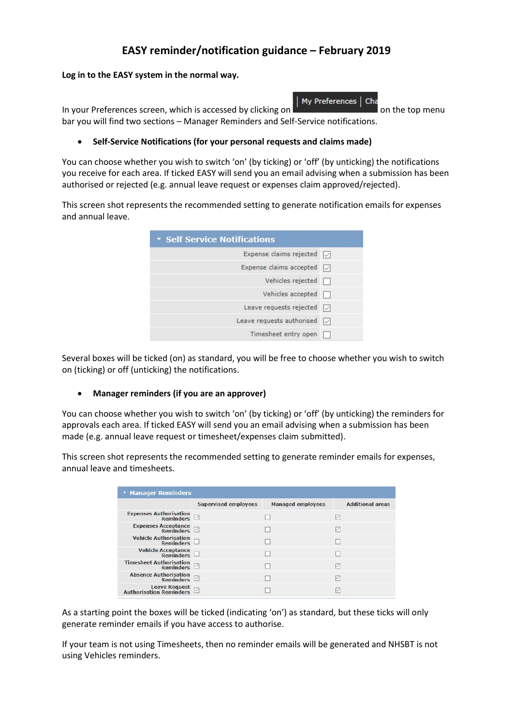## EASY reminder/notification guidance – February 2019

My Preferences |

## Log in to the EASY system in the normal way.

In your Preferences screen, which is accessed by clicking on  $\frac{1}{2}$  and  $\frac{1}{2}$  on the top menu bar you will find two sections – Manager Reminders and Self-Service notifications.

## Self-Service Notifications (for your personal requests and claims made)

You can choose whether you wish to switch 'on' (by ticking) or 'off' (by unticking) the notifications you receive for each area. If ticked EASY will send you an email advising when a submission has been authorised or rejected (e.g. annual leave request or expenses claim approved/rejected).

This screen shot represents the recommended setting to generate notification emails for expenses and annual leave.

| <b>T Self Service Notifications</b> |        |  |
|-------------------------------------|--------|--|
| Expense claims rejected $\Box$      |        |  |
| Expense claims accepted $\Box$      |        |  |
| Vehicles rejected $\Box$            |        |  |
| Vehicles accepted $\Box$            |        |  |
| Leave requests rejected $\Box$      |        |  |
| Leave requests authorised           | $\vee$ |  |
| Timesheet entry open                |        |  |

Several boxes will be ticked (on) as standard, you will be free to choose whether you wish to switch on (ticking) or off (unticking) the notifications.

## Manager reminders (if you are an approver)

You can choose whether you wish to switch 'on' (by ticking) or 'off' (by unticking) the reminders for approvals each area. If ticked EASY will send you an email advising when a submission has been made (e.g. annual leave request or timesheet/expenses claim submitted).

This screen shot represents the recommended setting to generate reminder emails for expenses, annual leave and timesheets.

| * Manager Reminders                                       |                             |                          |                         |
|-----------------------------------------------------------|-----------------------------|--------------------------|-------------------------|
|                                                           | <b>Supervised employees</b> | <b>Managed employees</b> | <b>Additional areas</b> |
| Expenses Authorisation<br>Reminders                       |                             |                          |                         |
| Expenses Acceptance<br>Reminders                          |                             |                          |                         |
| <b>Vehicle Authorisation</b><br>$R$ eminders $\Box$       |                             |                          |                         |
| Vehicle Acceptance<br>Reminders $\square$                 |                             |                          |                         |
| Timesheet Authorisation $\overline{\mathsf{Reminders}}$   |                             |                          | ▽                       |
| Absence Authorisation<br>Reminders                        |                             |                          |                         |
| <b>Leave Request</b><br>Authorisation Reminders $\boxdot$ |                             |                          |                         |

As a starting point the boxes will be ticked (indicating 'on') as standard, but these ticks will only generate reminder emails if you have access to authorise.

If your team is not using Timesheets, then no reminder emails will be generated and NHSBT is not using Vehicles reminders.